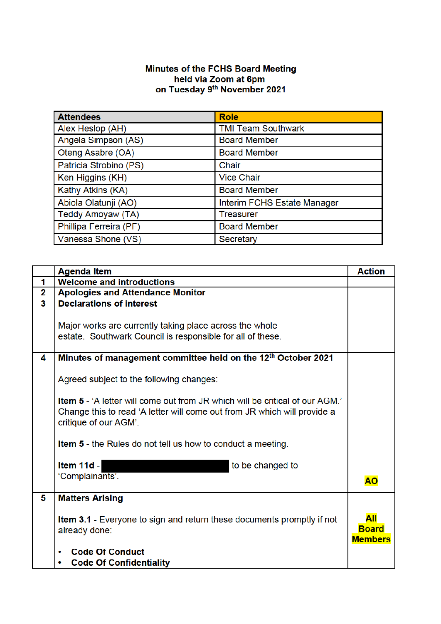## **Minutes of the FCHS Board Meeting** held via Zoom at 6pm<br>on Tuesday 9<sup>th</sup> November 2021

| <b>Attendees</b>       | <b>Role</b>                 |
|------------------------|-----------------------------|
| Alex Heslop (AH)       | <b>TMI Team Southwark</b>   |
| Angela Simpson (AS)    | <b>Board Member</b>         |
| Oteng Asabre (OA)      | <b>Board Member</b>         |
| Patricia Strobino (PS) | Chair                       |
| Ken Higgins (KH)       | <b>Vice Chair</b>           |
| Kathy Atkins (KA)      | <b>Board Member</b>         |
| Abiola Olatunji (AO)   | Interim FCHS Estate Manager |
| Teddy Amoyaw (TA)      | <b>Treasurer</b>            |
| Phillipa Ferreira (PF) | <b>Board Member</b>         |
| Vanessa Shone (VS)     | Secretary                   |

|                | <b>Agenda Item</b>                                                                                                                                                                       | <b>Action</b>                         |
|----------------|------------------------------------------------------------------------------------------------------------------------------------------------------------------------------------------|---------------------------------------|
| 1              | <b>Welcome and introductions</b>                                                                                                                                                         |                                       |
| $\overline{2}$ | <b>Apologies and Attendance Monitor</b>                                                                                                                                                  |                                       |
| 3              | <b>Declarations of interest</b>                                                                                                                                                          |                                       |
|                | Major works are currently taking place across the whole                                                                                                                                  |                                       |
|                | estate. Southwark Council is responsible for all of these.                                                                                                                               |                                       |
| 4              | Minutes of management committee held on the 12th October 2021                                                                                                                            |                                       |
|                | Agreed subject to the following changes:                                                                                                                                                 |                                       |
|                | <b>Item 5</b> - 'A letter will come out from JR which will be critical of our AGM.'<br>Change this to read 'A letter will come out from JR which will provide a<br>critique of our AGM'. |                                       |
|                | <b>Item 5</b> - the Rules do not tell us how to conduct a meeting.                                                                                                                       |                                       |
|                | Item 11d -<br>to be changed to                                                                                                                                                           |                                       |
|                | 'Complainants'.                                                                                                                                                                          | <b>AO</b>                             |
| 5              | <b>Matters Arising</b>                                                                                                                                                                   |                                       |
|                | <b>Item 3.1</b> - Everyone to sign and return these documents promptly if not<br>already done:                                                                                           | All<br><b>Board</b><br><b>Members</b> |
|                | <b>Code Of Conduct</b>                                                                                                                                                                   |                                       |
|                | <b>Code Of Confidentiality</b>                                                                                                                                                           |                                       |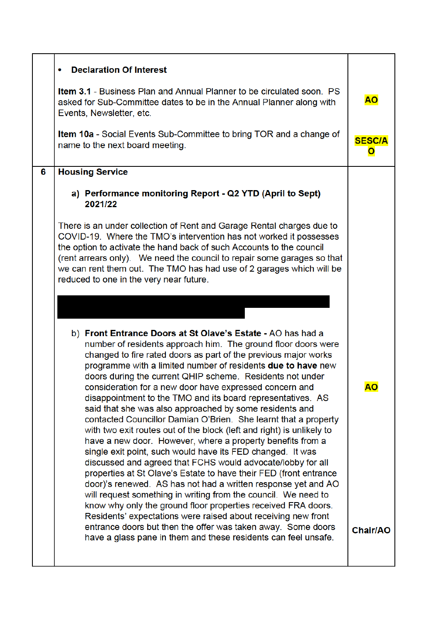|   | <b>Declaration Of Interest</b>                                                                                                                                                                                                                                                                                                                                                                                                                                                                                                                                                                                                                                                                                                                                                                                                                                                                                                                                                                                                                                                                                                    |                               |
|---|-----------------------------------------------------------------------------------------------------------------------------------------------------------------------------------------------------------------------------------------------------------------------------------------------------------------------------------------------------------------------------------------------------------------------------------------------------------------------------------------------------------------------------------------------------------------------------------------------------------------------------------------------------------------------------------------------------------------------------------------------------------------------------------------------------------------------------------------------------------------------------------------------------------------------------------------------------------------------------------------------------------------------------------------------------------------------------------------------------------------------------------|-------------------------------|
|   | <b>Item 3.1</b> - Business Plan and Annual Planner to be circulated soon. PS<br>asked for Sub-Committee dates to be in the Annual Planner along with<br>Events, Newsletter, etc.                                                                                                                                                                                                                                                                                                                                                                                                                                                                                                                                                                                                                                                                                                                                                                                                                                                                                                                                                  | <b>AO</b>                     |
|   | <b>Item 10a</b> - Social Events Sub-Committee to bring TOR and a change of<br>name to the next board meeting.                                                                                                                                                                                                                                                                                                                                                                                                                                                                                                                                                                                                                                                                                                                                                                                                                                                                                                                                                                                                                     | <b>SESC/A</b><br>$\mathbf{o}$ |
| 6 | <b>Housing Service</b>                                                                                                                                                                                                                                                                                                                                                                                                                                                                                                                                                                                                                                                                                                                                                                                                                                                                                                                                                                                                                                                                                                            |                               |
|   | a) Performance monitoring Report - Q2 YTD (April to Sept)<br>2021/22                                                                                                                                                                                                                                                                                                                                                                                                                                                                                                                                                                                                                                                                                                                                                                                                                                                                                                                                                                                                                                                              |                               |
|   | There is an under collection of Rent and Garage Rental charges due to<br>COVID-19. Where the TMO's intervention has not worked it possesses<br>the option to activate the hand back of such Accounts to the council<br>(rent arrears only). We need the council to repair some garages so that<br>we can rent them out. The TMO has had use of 2 garages which will be<br>reduced to one in the very near future.                                                                                                                                                                                                                                                                                                                                                                                                                                                                                                                                                                                                                                                                                                                 |                               |
|   | b) Front Entrance Doors at St Olave's Estate - AO has had a<br>number of residents approach him. The ground floor doors were<br>changed to fire rated doors as part of the previous major works<br>programme with a limited number of residents due to have new<br>doors during the current QHIP scheme. Residents not under<br>consideration for a new door have expressed concern and<br>disappointment to the TMO and its board representatives. AS<br>said that she was also approached by some residents and<br>contacted Councillor Damian O'Brien. She learnt that a property<br>with two exit routes out of the block (left and right) is unlikely to<br>have a new door. However, where a property benefits from a<br>single exit point, such would have its FED changed. It was<br>discussed and agreed that FCHS would advocate/lobby for all<br>properties at St Olave's Estate to have their FED (front entrance<br>door)'s renewed. AS has not had a written response yet and AO<br>will request something in writing from the council. We need to<br>know why only the ground floor properties received FRA doors. | <b>AO</b>                     |
|   | Residents' expectations were raised about receiving new front<br>entrance doors but then the offer was taken away. Some doors<br>have a glass pane in them and these residents can feel unsafe.                                                                                                                                                                                                                                                                                                                                                                                                                                                                                                                                                                                                                                                                                                                                                                                                                                                                                                                                   | <b>Chair/AO</b>               |
|   |                                                                                                                                                                                                                                                                                                                                                                                                                                                                                                                                                                                                                                                                                                                                                                                                                                                                                                                                                                                                                                                                                                                                   |                               |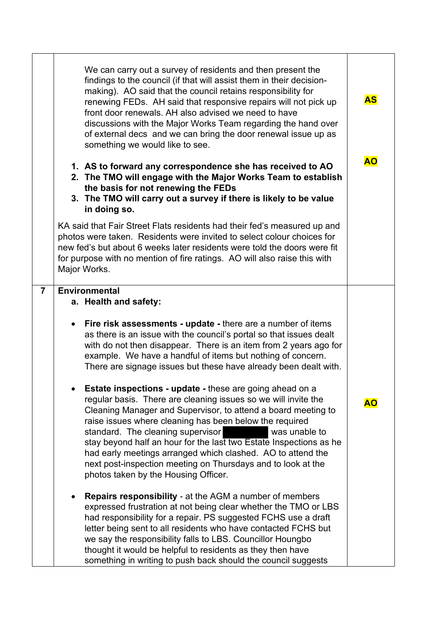|                | We can carry out a survey of residents and then present the<br>findings to the council (if that will assist them in their decision-<br>making). AO said that the council retains responsibility for<br>renewing FEDs. AH said that responsive repairs will not pick up<br>front door renewals. AH also advised we need to have<br>discussions with the Major Works Team regarding the hand over<br>of external decs and we can bring the door renewal issue up as<br>something we would like to see.<br>1. AS to forward any correspondence she has received to AO<br>2. The TMO will engage with the Major Works Team to establish<br>the basis for not renewing the FEDs<br>3. The TMO will carry out a survey if there is likely to be value<br>in doing so.<br>KA said that Fair Street Flats residents had their fed's measured up and<br>photos were taken. Residents were invited to select colour choices for<br>new fed's but about 6 weeks later residents were told the doors were fit | <b>AS</b><br><b>A0</b> |
|----------------|---------------------------------------------------------------------------------------------------------------------------------------------------------------------------------------------------------------------------------------------------------------------------------------------------------------------------------------------------------------------------------------------------------------------------------------------------------------------------------------------------------------------------------------------------------------------------------------------------------------------------------------------------------------------------------------------------------------------------------------------------------------------------------------------------------------------------------------------------------------------------------------------------------------------------------------------------------------------------------------------------|------------------------|
|                | for purpose with no mention of fire ratings. AO will also raise this with<br>Major Works.                                                                                                                                                                                                                                                                                                                                                                                                                                                                                                                                                                                                                                                                                                                                                                                                                                                                                                         |                        |
| $\overline{7}$ | <b>Environmental</b><br>a. Health and safety:<br><b>Fire risk assessments - update - there are a number of items</b><br>as there is an issue with the council's portal so that issues dealt<br>with do not then disappear. There is an item from 2 years ago for<br>example. We have a handful of items but nothing of concern.<br>There are signage issues but these have already been dealt with.<br><b>Estate inspections - update - these are going ahead on a</b><br>regular basis. There are cleaning issues so we will invite the<br>Cleaning Manager and Supervisor, to attend a board meeting to<br>raise issues where cleaning has been below the required<br>standard. The cleaning supervisor<br>was unable to<br>stay beyond half an hour for the last two Estate Inspections as he<br>had early meetings arranged which clashed. AO to attend the<br>next post-inspection meeting on Thursdays and to look at the<br>photos taken by the Housing Officer.                           | <b>AO</b>              |
|                | <b>Repairs responsibility - at the AGM a number of members</b><br>expressed frustration at not being clear whether the TMO or LBS<br>had responsibility for a repair. PS suggested FCHS use a draft<br>letter being sent to all residents who have contacted FCHS but<br>we say the responsibility falls to LBS. Councillor Houngbo<br>thought it would be helpful to residents as they then have<br>something in writing to push back should the council suggests                                                                                                                                                                                                                                                                                                                                                                                                                                                                                                                                |                        |

٦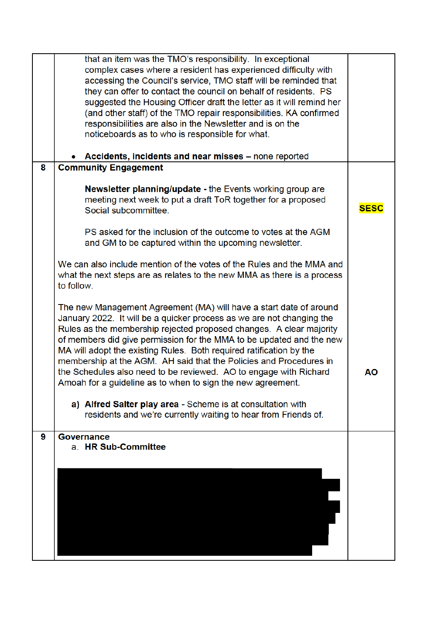|   | that an item was the TMO's responsibility. In exceptional                                                                                                                                                                                                                                                                                                                                                                                                                                                                                                                                                                                                                                                    |             |
|---|--------------------------------------------------------------------------------------------------------------------------------------------------------------------------------------------------------------------------------------------------------------------------------------------------------------------------------------------------------------------------------------------------------------------------------------------------------------------------------------------------------------------------------------------------------------------------------------------------------------------------------------------------------------------------------------------------------------|-------------|
|   | complex cases where a resident has experienced difficulty with                                                                                                                                                                                                                                                                                                                                                                                                                                                                                                                                                                                                                                               |             |
|   | accessing the Council's service, TMO staff will be reminded that                                                                                                                                                                                                                                                                                                                                                                                                                                                                                                                                                                                                                                             |             |
|   | they can offer to contact the council on behalf of residents. PS                                                                                                                                                                                                                                                                                                                                                                                                                                                                                                                                                                                                                                             |             |
|   | suggested the Housing Officer draft the letter as it will remind her                                                                                                                                                                                                                                                                                                                                                                                                                                                                                                                                                                                                                                         |             |
|   | (and other staff) of the TMO repair responsibilities. KA confirmed                                                                                                                                                                                                                                                                                                                                                                                                                                                                                                                                                                                                                                           |             |
|   | responsibilities are also in the Newsletter and is on the                                                                                                                                                                                                                                                                                                                                                                                                                                                                                                                                                                                                                                                    |             |
|   | noticeboards as to who is responsible for what.                                                                                                                                                                                                                                                                                                                                                                                                                                                                                                                                                                                                                                                              |             |
|   |                                                                                                                                                                                                                                                                                                                                                                                                                                                                                                                                                                                                                                                                                                              |             |
|   | Accidents, incidents and near misses - none reported                                                                                                                                                                                                                                                                                                                                                                                                                                                                                                                                                                                                                                                         |             |
| 8 | <b>Community Engagement</b>                                                                                                                                                                                                                                                                                                                                                                                                                                                                                                                                                                                                                                                                                  |             |
|   | <b>Newsletter planning/update - the Events working group are</b><br>meeting next week to put a draft ToR together for a proposed<br>Social subcommittee.                                                                                                                                                                                                                                                                                                                                                                                                                                                                                                                                                     | <b>SESC</b> |
|   | PS asked for the inclusion of the outcome to votes at the AGM<br>and GM to be captured within the upcoming newsletter.                                                                                                                                                                                                                                                                                                                                                                                                                                                                                                                                                                                       |             |
|   | We can also include mention of the votes of the Rules and the MMA and<br>what the next steps are as relates to the new MMA as there is a process<br>to follow.                                                                                                                                                                                                                                                                                                                                                                                                                                                                                                                                               |             |
|   | The new Management Agreement (MA) will have a start date of around<br>January 2022. It will be a quicker process as we are not changing the<br>Rules as the membership rejected proposed changes. A clear majority<br>of members did give permission for the MMA to be updated and the new<br>MA will adopt the existing Rules. Both required ratification by the<br>membership at the AGM. AH said that the Policies and Procedures in<br>the Schedules also need to be reviewed. AO to engage with Richard<br>Amoah for a guideline as to when to sign the new agreement.<br>a) Alfred Salter play area - Scheme is at consultation with<br>residents and we're currently waiting to hear from Friends of. | ΑO          |
| 9 | <b>Governance</b><br>a. HR Sub-Committee                                                                                                                                                                                                                                                                                                                                                                                                                                                                                                                                                                                                                                                                     |             |
|   |                                                                                                                                                                                                                                                                                                                                                                                                                                                                                                                                                                                                                                                                                                              |             |
|   |                                                                                                                                                                                                                                                                                                                                                                                                                                                                                                                                                                                                                                                                                                              |             |
|   |                                                                                                                                                                                                                                                                                                                                                                                                                                                                                                                                                                                                                                                                                                              |             |
|   |                                                                                                                                                                                                                                                                                                                                                                                                                                                                                                                                                                                                                                                                                                              |             |
|   |                                                                                                                                                                                                                                                                                                                                                                                                                                                                                                                                                                                                                                                                                                              |             |
|   |                                                                                                                                                                                                                                                                                                                                                                                                                                                                                                                                                                                                                                                                                                              |             |
|   |                                                                                                                                                                                                                                                                                                                                                                                                                                                                                                                                                                                                                                                                                                              |             |
|   |                                                                                                                                                                                                                                                                                                                                                                                                                                                                                                                                                                                                                                                                                                              |             |
|   |                                                                                                                                                                                                                                                                                                                                                                                                                                                                                                                                                                                                                                                                                                              |             |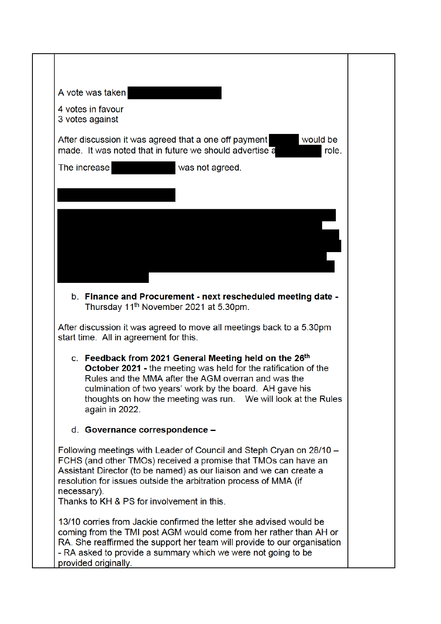| A vote was taken                                                                                                                                                                                                                                                                                                                               |  |
|------------------------------------------------------------------------------------------------------------------------------------------------------------------------------------------------------------------------------------------------------------------------------------------------------------------------------------------------|--|
| 4 votes in favour<br>3 votes against                                                                                                                                                                                                                                                                                                           |  |
| would be<br>After discussion it was agreed that a one off payment<br>made. It was noted that in future we should advertise a<br>role.                                                                                                                                                                                                          |  |
| The increase<br>was not agreed.                                                                                                                                                                                                                                                                                                                |  |
|                                                                                                                                                                                                                                                                                                                                                |  |
|                                                                                                                                                                                                                                                                                                                                                |  |
|                                                                                                                                                                                                                                                                                                                                                |  |
|                                                                                                                                                                                                                                                                                                                                                |  |
|                                                                                                                                                                                                                                                                                                                                                |  |
| b. Finance and Procurement - next rescheduled meeting date -                                                                                                                                                                                                                                                                                   |  |
| Thursday 11 <sup>th</sup> November 2021 at 5.30pm.                                                                                                                                                                                                                                                                                             |  |
| After discussion it was agreed to move all meetings back to a 5.30pm<br>start time. All in agreement for this.                                                                                                                                                                                                                                 |  |
| c. Feedback from 2021 General Meeting held on the 26th<br><b>October 2021 - the meeting was held for the ratification of the</b><br>Rules and the MMA after the AGM overran and was the<br>culmination of two years' work by the board. AH gave his<br>thoughts on how the meeting was run.  We will look at the Rules<br>again in 2022.       |  |
| d. Governance correspondence -                                                                                                                                                                                                                                                                                                                 |  |
| Following meetings with Leader of Council and Steph Cryan on 28/10 -<br>FCHS (and other TMOs) received a promise that TMOs can have an<br>Assistant Director (to be named) as our liaison and we can create a<br>resolution for issues outside the arbitration process of MMA (if<br>necessary).<br>Thanks to KH & PS for involvement in this. |  |
|                                                                                                                                                                                                                                                                                                                                                |  |
| 13/10 corries from Jackie confirmed the letter she advised would be<br>coming from the TMI post AGM would come from her rather than AH or<br>RA. She reaffirmed the support her team will provide to our organisation<br>- RA asked to provide a summary which we were not going to be<br>provided originally.                                 |  |
|                                                                                                                                                                                                                                                                                                                                                |  |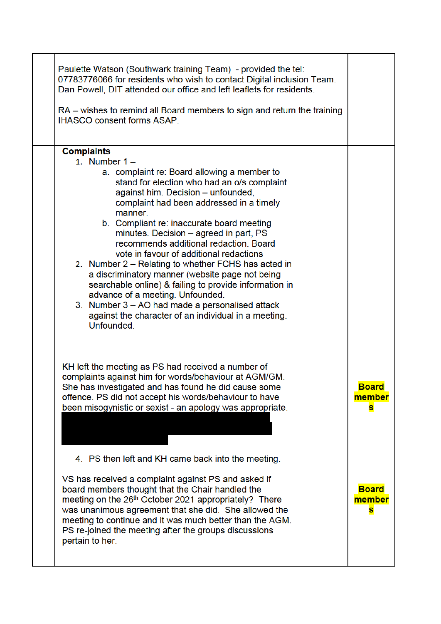| Paulette Watson (Southwark training Team) - provided the tel:<br>07783776066 for residents who wish to contact Digital inclusion Team.<br>Dan Powell, DIT attended our office and left leaflets for residents.<br>RA – wishes to remind all Board members to sign and return the training<br><b>IHASCO consent forms ASAP.</b>                                                                                                                                                                                                                                                                                                                                                                       |                                                       |
|------------------------------------------------------------------------------------------------------------------------------------------------------------------------------------------------------------------------------------------------------------------------------------------------------------------------------------------------------------------------------------------------------------------------------------------------------------------------------------------------------------------------------------------------------------------------------------------------------------------------------------------------------------------------------------------------------|-------------------------------------------------------|
| <b>Complaints</b><br>1. Number $1 -$                                                                                                                                                                                                                                                                                                                                                                                                                                                                                                                                                                                                                                                                 |                                                       |
| a. complaint re: Board allowing a member to<br>stand for election who had an o/s complaint<br>against him. Decision - unfounded,<br>complaint had been addressed in a timely<br>manner.<br>b. Compliant re: inaccurate board meeting<br>minutes. Decision - agreed in part, PS<br>recommends additional redaction. Board<br>vote in favour of additional redactions<br>2. Number 2 – Relating to whether FCHS has acted in<br>a discriminatory manner (website page not being<br>searchable online) & failing to provide information in<br>advance of a meeting. Unfounded.<br>3. Number 3 - AO had made a personalised attack<br>against the character of an individual in a meeting.<br>Unfounded. |                                                       |
| KH left the meeting as PS had received a number of<br>complaints against him for words/behaviour at AGM/GM.<br>She has investigated and has found he did cause some<br>offence. PS did not accept his words/behaviour to have<br>been misogynistic or sexist - an apology was appropriate.<br>4. PS then left and KH came back into the meeting.<br>VS has received a complaint against PS and asked if<br>board members thought that the Chair handled the<br>meeting on the 26 <sup>th</sup> October 2021 appropriately? There                                                                                                                                                                     | <b>Board</b><br>member<br>s<br><b>Board</b><br>member |
| was unanimous agreement that she did. She allowed the<br>meeting to continue and it was much better than the AGM.<br>PS re-joined the meeting after the groups discussions<br>pertain to her.                                                                                                                                                                                                                                                                                                                                                                                                                                                                                                        | s                                                     |